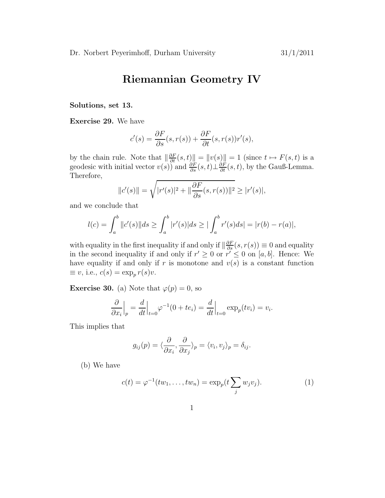## Riemannian Geometry IV

## Solutions, set 13.

Exercise 29. We have

$$
c'(s) = \frac{\partial F}{\partial s}(s, r(s)) + \frac{\partial F}{\partial t}(s, r(s))r'(s),
$$

by the chain rule. Note that  $\left\|\frac{\partial F}{\partial t}(s,t)\right\| = \|v(s)\| = 1$  (since  $t \mapsto F(s,t)$  is a geodesic with initial vector  $v(s)$ ) and  $\frac{\partial F}{\partial s}(s,t) \perp \frac{\partial F}{\partial t}(s,t)$ , by the Gauß-Lemma. Therefore,

$$
||c'(s)|| = \sqrt{|r'(s)|^2 + ||\frac{\partial F}{\partial s}(s, r(s))||^2} \ge |r'(s)|,
$$

and we conclude that

$$
l(c) = \int_{a}^{b} ||c'(s)||ds \ge \int_{a}^{b} |r'(s)|ds \ge |\int_{a}^{b} r'(s)ds| = |r(b) - r(a)|,
$$

with equality in the first inequality if and only if  $\|\frac{\partial F}{\partial s}(s, r(s))\equiv 0$  and equality in the second inequality if and only if  $r' \geq 0$  or  $r' \leq 0$  on [a, b]. Hence: We have equality if and only if r is monotone and  $v(s)$  is a constant function  $\equiv v$ , i.e.,  $c(s) = \exp_p r(s)v$ .

**Exercise 30.** (a) Note that  $\varphi(p) = 0$ , so

$$
\frac{\partial}{\partial x_i}\Big|_p = \frac{d}{dt}\Big|_{t=0} \varphi^{-1}(0 + te_i) = \frac{d}{dt}\Big|_{t=0} \exp_p(tv_i) = v_i.
$$

This implies that

$$
g_{ij}(p) = \langle \frac{\partial}{\partial x_i}, \frac{\partial}{\partial x_j} \rangle_p = \langle v_i, v_j \rangle_p = \delta_{ij}.
$$

(b) We have

$$
c(t) = \varphi^{-1}(tw_1, ..., tw_n) = \exp_p(t \sum_j w_j v_j).
$$
 (1)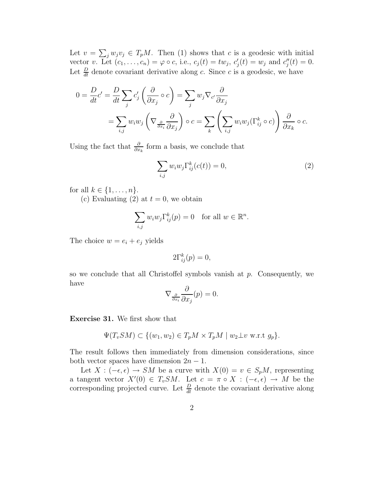Let  $v = \sum_j w_j v_j \in T_p M$ . Then (1) shows that c is a geodesic with initial vector v. Let  $(c_1, \ldots, c_n) = \varphi \circ c$ , i.e.,  $c_j(t) = tw_j, c'_j$  $y'_{j}(t) = w_{j}$  and  $c''_{j}$  $''_j(t) = 0.$ Let  $\frac{D}{dt}$  denote covariant derivative along c. Since c is a geodesic, we have

$$
0 = \frac{D}{dt}c' = \frac{D}{dt}\sum_{j}c'_{j}\left(\frac{\partial}{\partial x_{j}} \circ c\right) = \sum_{j}w_{j}\nabla_{c'}\frac{\partial}{\partial x_{j}}
$$
  
= 
$$
\sum_{i,j}w_{i}w_{j}\left(\nabla_{\frac{\partial}{\partial x_{i}}}\frac{\partial}{\partial x_{j}}\right) \circ c = \sum_{k}\left(\sum_{i,j}w_{i}w_{j}(\Gamma_{ij}^{k} \circ c)\right)\frac{\partial}{\partial x_{k}} \circ c.
$$

Using the fact that  $\frac{\partial}{\partial x_k}$  form a basis, we conclude that

$$
\sum_{i,j} w_i w_j \Gamma_{ij}^k(c(t)) = 0,
$$
\n(2)

for all  $k \in \{1, \ldots, n\}$ .

(c) Evaluating (2) at  $t = 0$ , we obtain

$$
\sum_{i,j} w_i w_j \Gamma_{ij}^k(p) = 0 \quad \text{for all } w \in \mathbb{R}^n.
$$

The choice  $w = e_i + e_j$  yields

$$
2\Gamma_{ij}^k(p) = 0,
$$

so we conclude that all Christoffel symbols vanish at  $p$ . Consequently, we have

$$
\nabla_{\frac{\partial}{\partial x_i}} \frac{\partial}{\partial x_j}(p) = 0.
$$

Exercise 31. We first show that

$$
\Psi(T_vSM) \subset \{(w_1, w_2) \in T_pM \times T_pM \mid w_2 \perp v \text{ w.r.t } g_p\}.
$$

The result follows then immediately from dimension considerations, since both vector spaces have dimension  $2n - 1$ .

Let  $X : (-\epsilon, \epsilon) \to SM$  be a curve with  $X(0) = v \in S_pM$ , representing a tangent vector  $X'(0) \in T_vSM$ . Let  $c = \pi \circ X : (-\epsilon, \epsilon) \to M$  be the corresponding projected curve. Let  $\frac{D}{dt}$  denote the covariant derivative along